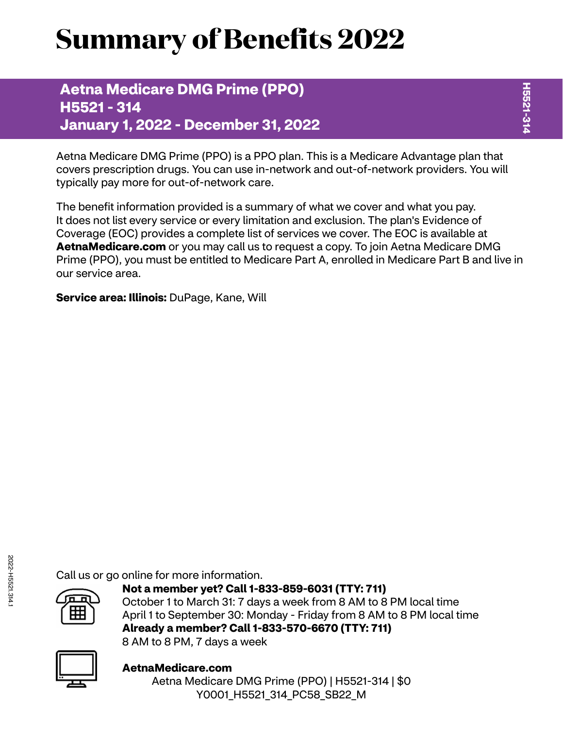# **Summary of Benefits 2022**

**Aetna Medicare DMG Prime (PPO) H5521 - 314 January 1, 2022 - December 31, 2022**

Aetna Medicare DMG Prime (PPO) is a PPO plan. This is a Medicare Advantage plan that covers prescription drugs. You can use in-network and out-of-network providers. You will typically pay more for out-of-network care.

The benefit information provided is a summary of what we cover and what you pay. It does not list every service or every limitation and exclusion. The plan's Evidence of Coverage (EOC) provides a complete list of services we cover. The EOC is available at **[AetnaMedicare.com](http://AetnaMedicare.com)** or you may call us to request a copy. To join Aetna Medicare DMG Prime (PPO), you must be entitled to Medicare Part A, enrolled in Medicare Part B and live in our service area.

**Service area: Illinois:** DuPage, Kane, Will

Call us or go online for more information.



**Not a member yet? Call 1-833-859-6031 (TTY: 711)** October 1 to March 31: 7 days a week from 8 AM to 8 PM local time April 1 to September 30: Monday - Friday from 8 AM to 8 PM local time **Already a member? Call 1-833-570-6670 (TTY: 711)** 8 AM to 8 PM, 7 days a week



**[AetnaMedicare.com](http://AetnaMedicare.com)** Aetna Medicare DMG Prime (PPO) | H5521-314 | \$0 Y0001\_H5521\_314\_PC58\_SB22\_M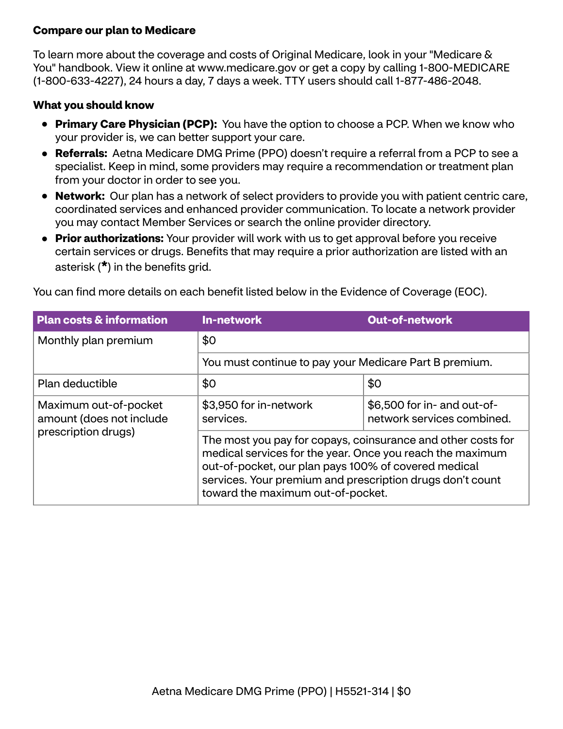## **Compare our plan to Medicare**

To learn more about the coverage and costs of Original Medicare, look in your "Medicare & You" handbook. View it online at<www.medicare.gov>or get a copy by calling 1-800-MEDICARE (1-800-633-4227), 24 hours a day, 7 days a week. TTY users should call 1-877-486-2048.

### **What you should know**

- **Primary Care Physician (PCP):** You have the option to choose a PCP. When we know who your provider is, we can better support your care.
- **Referrals:** Aetna Medicare DMG Prime (PPO) doesn't require a referral from a PCP to see a specialist. Keep in mind, some providers may require a recommendation or treatment plan from your doctor in order to see you.
- **Network:** Our plan has a network of select providers to provide you with patient centric care, coordinated services and enhanced provider communication. To locate a network provider you may contact Member Services or search the online provider directory.
- **Prior authorizations:** Your provider will work with us to get approval before you receive certain services or drugs. Benefits that may require a prior authorization are listed with an asterisk (**\***) in the benefits grid.

You can find more details on each benefit listed below in the Evidence of Coverage (EOC).

| <b>Plan costs &amp; information</b>               | <b>In-network</b>                                                                                                                                                                                                                                                                   | <b>Out-of-network</b>                                     |  |
|---------------------------------------------------|-------------------------------------------------------------------------------------------------------------------------------------------------------------------------------------------------------------------------------------------------------------------------------------|-----------------------------------------------------------|--|
| Monthly plan premium                              | \$0                                                                                                                                                                                                                                                                                 |                                                           |  |
|                                                   | You must continue to pay your Medicare Part B premium.                                                                                                                                                                                                                              |                                                           |  |
| Plan deductible                                   | \$0                                                                                                                                                                                                                                                                                 | \$0                                                       |  |
| Maximum out-of-pocket<br>amount (does not include | \$3,950 for in-network<br>services.                                                                                                                                                                                                                                                 | \$6,500 for in- and out-of-<br>network services combined. |  |
| prescription drugs)                               | The most you pay for copays, coinsurance and other costs for<br>medical services for the year. Once you reach the maximum<br>out-of-pocket, our plan pays 100% of covered medical<br>services. Your premium and prescription drugs don't count<br>toward the maximum out-of-pocket. |                                                           |  |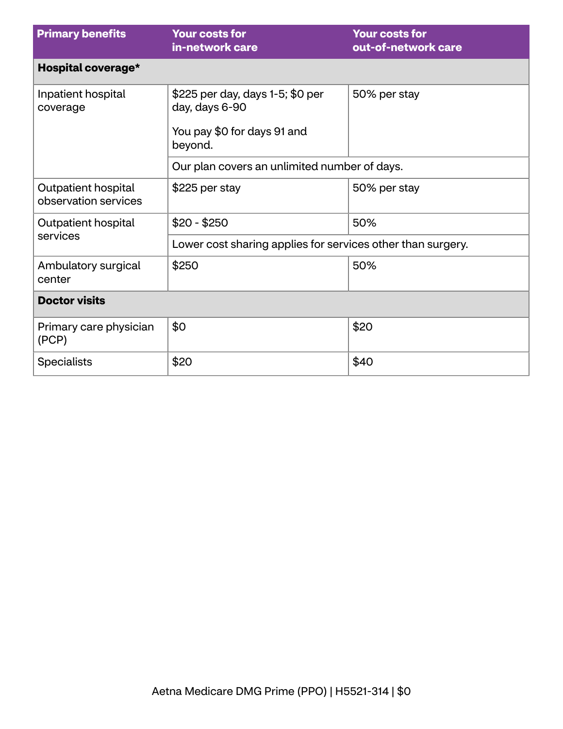| <b>Primary benefits</b>                     | <b>Your costs for</b><br>in-network care                                                     | <b>Your costs for</b><br>out-of-network care |  |
|---------------------------------------------|----------------------------------------------------------------------------------------------|----------------------------------------------|--|
| Hospital coverage*                          |                                                                                              |                                              |  |
| Inpatient hospital<br>coverage              | \$225 per day, days 1-5; \$0 per<br>day, days 6-90<br>You pay \$0 for days 91 and<br>beyond. | 50% per stay                                 |  |
|                                             | Our plan covers an unlimited number of days.                                                 |                                              |  |
| Outpatient hospital<br>observation services | \$225 per stay                                                                               | 50% per stay                                 |  |
| Outpatient hospital                         | $$20 - $250$                                                                                 | 50%                                          |  |
| services                                    | Lower cost sharing applies for services other than surgery.                                  |                                              |  |
| Ambulatory surgical<br>center               | \$250                                                                                        | 50%                                          |  |
| <b>Doctor visits</b>                        |                                                                                              |                                              |  |
| Primary care physician<br>(PCP)             | \$0                                                                                          | \$20                                         |  |
| <b>Specialists</b>                          | \$20                                                                                         | \$40                                         |  |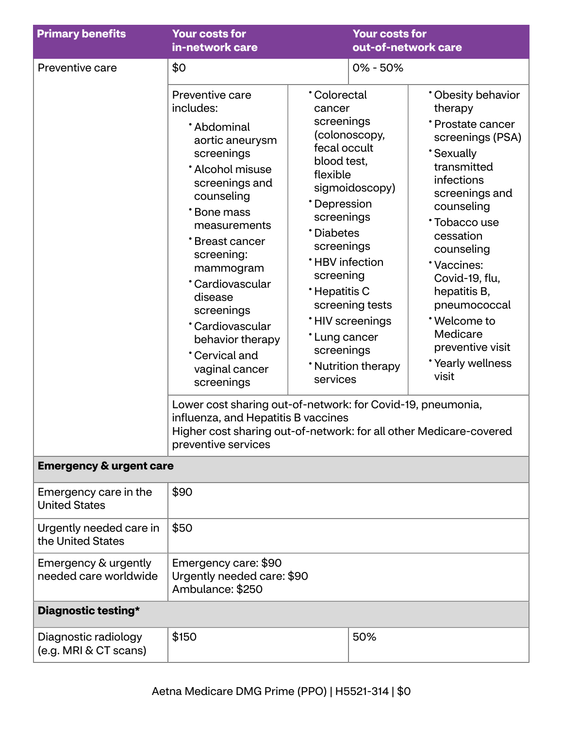| <b>Primary benefits</b>                                                                                                                                                                                                                                                                                                                                                     | <b>Your costs for</b><br><b>Your costs for</b><br>out-of-network care<br>in-network care                                                                                                                                                                                                                                                                                                                                                                                                                                  |                                                                                                                                                                          |                                                                                                                                                                        |  |
|-----------------------------------------------------------------------------------------------------------------------------------------------------------------------------------------------------------------------------------------------------------------------------------------------------------------------------------------------------------------------------|---------------------------------------------------------------------------------------------------------------------------------------------------------------------------------------------------------------------------------------------------------------------------------------------------------------------------------------------------------------------------------------------------------------------------------------------------------------------------------------------------------------------------|--------------------------------------------------------------------------------------------------------------------------------------------------------------------------|------------------------------------------------------------------------------------------------------------------------------------------------------------------------|--|
| Preventive care                                                                                                                                                                                                                                                                                                                                                             | \$0                                                                                                                                                                                                                                                                                                                                                                                                                                                                                                                       |                                                                                                                                                                          | $0\% - 50\%$                                                                                                                                                           |  |
| Preventive care<br>includes:<br>*Abdominal<br>aortic aneurysm<br>screenings<br>* Alcohol misuse<br>screenings and<br>counseling<br>*Bone mass<br>measurements<br>*Breast cancer<br>screening:<br>mammogram<br>*Cardiovascular<br>disease<br>screenings<br>*Cardiovascular<br>behavior therapy<br><b>Cervical and</b><br>vaginal cancer<br>screenings<br>preventive services | <b>Colorectal</b><br>therapy<br>cancer<br>screenings<br>(colonoscopy,<br>fecal occult<br><b>Sexually</b><br>blood test,<br>transmitted<br>flexible<br>infections<br>sigmoidoscopy)<br>*Depression<br>counseling<br>screenings<br>*Diabetes<br>cessation<br>screenings<br>counseling<br><b>*HBV</b> infection<br>*Vaccines:<br>screening<br>*Hepatitis C<br>hepatitis B,<br>screening tests<br>*Welcome to<br><b>'HIV</b> screenings<br>Medicare<br>*Lung cancer<br>screenings<br>* Nutrition therapy<br>visit<br>services |                                                                                                                                                                          | * Obesity behavior<br>*Prostate cancer<br>screenings (PSA)<br>screenings and<br>*Tobacco use<br>Covid-19, flu,<br>pneumococcal<br>preventive visit<br>*Yearly wellness |  |
|                                                                                                                                                                                                                                                                                                                                                                             |                                                                                                                                                                                                                                                                                                                                                                                                                                                                                                                           | Lower cost sharing out-of-network: for Covid-19, pneumonia,<br>influenza, and Hepatitis B vaccines<br>Higher cost sharing out-of-network: for all other Medicare-covered |                                                                                                                                                                        |  |
| <b>Emergency &amp; urgent care</b>                                                                                                                                                                                                                                                                                                                                          |                                                                                                                                                                                                                                                                                                                                                                                                                                                                                                                           |                                                                                                                                                                          |                                                                                                                                                                        |  |
| Emergency care in the<br><b>United States</b>                                                                                                                                                                                                                                                                                                                               | \$90                                                                                                                                                                                                                                                                                                                                                                                                                                                                                                                      |                                                                                                                                                                          |                                                                                                                                                                        |  |
| Urgently needed care in<br>the United States                                                                                                                                                                                                                                                                                                                                | \$50                                                                                                                                                                                                                                                                                                                                                                                                                                                                                                                      |                                                                                                                                                                          |                                                                                                                                                                        |  |
| Emergency & urgently<br>needed care worldwide                                                                                                                                                                                                                                                                                                                               | Emergency care: \$90<br>Urgently needed care: \$90<br>Ambulance: \$250                                                                                                                                                                                                                                                                                                                                                                                                                                                    |                                                                                                                                                                          |                                                                                                                                                                        |  |
| Diagnostic testing*                                                                                                                                                                                                                                                                                                                                                         |                                                                                                                                                                                                                                                                                                                                                                                                                                                                                                                           |                                                                                                                                                                          |                                                                                                                                                                        |  |
| Diagnostic radiology<br>(e.g. MRI & CT scans)                                                                                                                                                                                                                                                                                                                               | \$150                                                                                                                                                                                                                                                                                                                                                                                                                                                                                                                     |                                                                                                                                                                          | 50%                                                                                                                                                                    |  |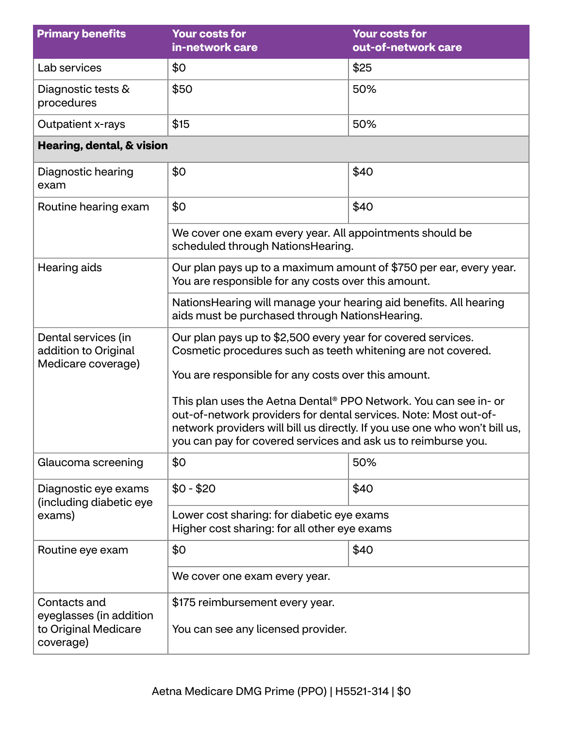| <b>Primary benefits</b>                                                      | <b>Your costs for</b><br>in-network care                                                                                                                                                                                                                                            | <b>Your costs for</b><br>out-of-network care |  |
|------------------------------------------------------------------------------|-------------------------------------------------------------------------------------------------------------------------------------------------------------------------------------------------------------------------------------------------------------------------------------|----------------------------------------------|--|
| Lab services                                                                 | \$0                                                                                                                                                                                                                                                                                 | \$25                                         |  |
| Diagnostic tests &<br>procedures                                             | \$50                                                                                                                                                                                                                                                                                | 50%                                          |  |
| Outpatient x-rays                                                            | \$15                                                                                                                                                                                                                                                                                | 50%                                          |  |
| Hearing, dental, & vision                                                    |                                                                                                                                                                                                                                                                                     |                                              |  |
| Diagnostic hearing<br>exam                                                   | \$0                                                                                                                                                                                                                                                                                 | \$40                                         |  |
| Routine hearing exam                                                         | \$0                                                                                                                                                                                                                                                                                 | \$40                                         |  |
|                                                                              | We cover one exam every year. All appointments should be<br>scheduled through NationsHearing.                                                                                                                                                                                       |                                              |  |
| Hearing aids                                                                 | Our plan pays up to a maximum amount of \$750 per ear, every year.<br>You are responsible for any costs over this amount.                                                                                                                                                           |                                              |  |
|                                                                              | Nations Hearing will manage your hearing aid benefits. All hearing<br>aids must be purchased through NationsHearing.                                                                                                                                                                |                                              |  |
| Dental services (in<br>addition to Original<br>Medicare coverage)            | Our plan pays up to \$2,500 every year for covered services.<br>Cosmetic procedures such as teeth whitening are not covered.<br>You are responsible for any costs over this amount.                                                                                                 |                                              |  |
|                                                                              | This plan uses the Aetna Dental® PPO Network. You can see in- or<br>out-of-network providers for dental services. Note: Most out-of-<br>network providers will bill us directly. If you use one who won't bill us,<br>you can pay for covered services and ask us to reimburse you. |                                              |  |
| Glaucoma screening                                                           | \$0                                                                                                                                                                                                                                                                                 | 50%                                          |  |
| Diagnostic eye exams<br>(including diabetic eye                              | $$0 - $20$<br>\$40                                                                                                                                                                                                                                                                  |                                              |  |
| exams)                                                                       | Lower cost sharing: for diabetic eye exams<br>Higher cost sharing: for all other eye exams                                                                                                                                                                                          |                                              |  |
| Routine eye exam                                                             | \$0<br>\$40                                                                                                                                                                                                                                                                         |                                              |  |
|                                                                              | We cover one exam every year.                                                                                                                                                                                                                                                       |                                              |  |
| Contacts and<br>eyeglasses (in addition<br>to Original Medicare<br>coverage) | \$175 reimbursement every year.<br>You can see any licensed provider.                                                                                                                                                                                                               |                                              |  |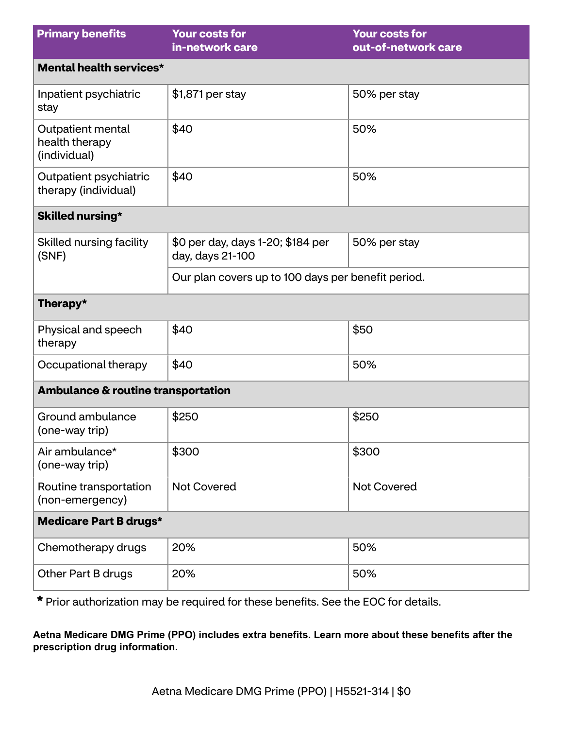| <b>Primary benefits</b>                             | <b>Your costs for</b><br>in-network care              | <b>Your costs for</b><br>out-of-network care |  |
|-----------------------------------------------------|-------------------------------------------------------|----------------------------------------------|--|
| Mental health services*                             |                                                       |                                              |  |
| Inpatient psychiatric<br>stay                       | \$1,871 per stay                                      | 50% per stay                                 |  |
| Outpatient mental<br>health therapy<br>(individual) | \$40                                                  | 50%                                          |  |
| Outpatient psychiatric<br>therapy (individual)      | \$40                                                  | 50%                                          |  |
| Skilled nursing*                                    |                                                       |                                              |  |
| Skilled nursing facility<br>(SNF)                   | \$0 per day, days 1-20; \$184 per<br>day, days 21-100 | 50% per stay                                 |  |
|                                                     | Our plan covers up to 100 days per benefit period.    |                                              |  |
| Therapy*                                            |                                                       |                                              |  |
| Physical and speech<br>therapy                      | \$40                                                  | \$50                                         |  |
| Occupational therapy                                | \$40                                                  | 50%                                          |  |
| <b>Ambulance &amp; routine transportation</b>       |                                                       |                                              |  |
| Ground ambulance<br>(one-way trip)                  | \$250                                                 | \$250                                        |  |
| Air ambulance*<br>(one-way trip)                    | \$300                                                 | \$300                                        |  |
| Routine transportation<br>(non-emergency)           | <b>Not Covered</b>                                    | <b>Not Covered</b>                           |  |
| <b>Medicare Part B drugs*</b>                       |                                                       |                                              |  |
| Chemotherapy drugs                                  | 20%                                                   | 50%                                          |  |
| Other Part B drugs                                  | 20%                                                   | 50%                                          |  |

**\*** Prior authorization may be required for these benefits. See the EOC for details.

**Aetna Medicare DMG Prime (PPO) includes extra benefits. Learn more about these benefits after the prescription drug information.**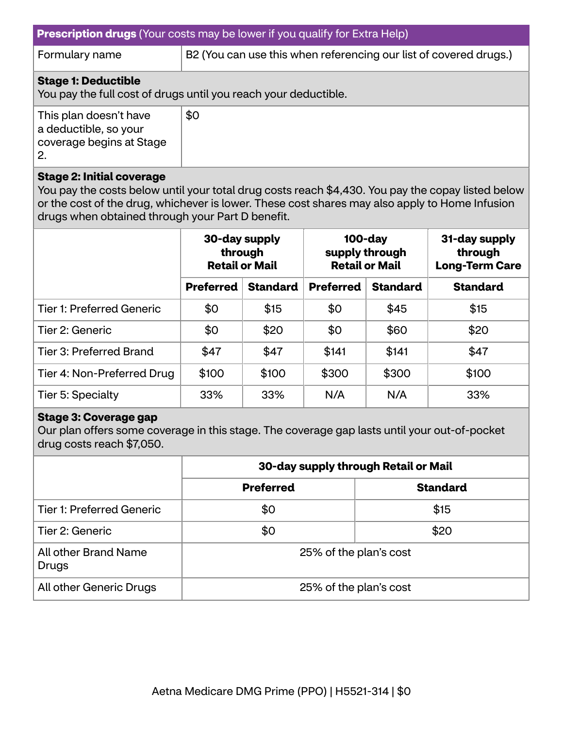Formulary name  $\vert$  B2 (You can use this when referencing our list of covered drugs.)

### **Stage 1: Deductible**

You pay the full cost of drugs until you reach your deductible.

| This plan doesn't have<br>a deductible, so your | \$0 |
|-------------------------------------------------|-----|
| coverage begins at Stage<br>2.                  |     |

#### **Stage 2: Initial coverage**

You pay the costs below until your total drug costs reach \$4,430. You pay the copay listed below or the cost of the drug, whichever is lower. These cost shares may also apply to Home Infusion drugs when obtained through your Part D benefit.

|                                  | 30-day supply<br>through<br><b>Retail or Mail</b> |                 | $100$ -day<br>supply through<br><b>Retail or Mail</b> |                 | 31-day supply<br>through<br><b>Long-Term Care</b> |
|----------------------------------|---------------------------------------------------|-----------------|-------------------------------------------------------|-----------------|---------------------------------------------------|
|                                  | <b>Preferred</b>                                  | <b>Standard</b> | <b>Preferred</b>                                      | <b>Standard</b> | <b>Standard</b>                                   |
| <b>Tier 1: Preferred Generic</b> | \$0                                               | \$15            | \$0                                                   | \$45            | \$15                                              |
| Tier 2: Generic                  | \$0                                               | \$20            | \$0                                                   | \$60            | \$20                                              |
| Tier 3: Preferred Brand          | \$47                                              | \$47            | \$141                                                 | \$141           | \$47                                              |
| Tier 4: Non-Preferred Drug       | \$100                                             | \$100           | \$300                                                 | \$300           | \$100                                             |
| Tier 5: Specialty                | 33%                                               | 33%             | N/A                                                   | N/A             | 33%                                               |

#### **Stage 3: Coverage gap**

Our plan offers some coverage in this stage. The coverage gap lasts until your out-of-pocket drug costs reach \$7,050.

|                                  | 30-day supply through Retail or Mail |                 |  |
|----------------------------------|--------------------------------------|-----------------|--|
|                                  | <b>Preferred</b>                     | <b>Standard</b> |  |
| <b>Tier 1: Preferred Generic</b> | \$0                                  | \$15            |  |
| Tier 2: Generic                  | \$0                                  | \$20            |  |
| All other Brand Name<br>Drugs    | 25% of the plan's cost               |                 |  |
| All other Generic Drugs          | 25% of the plan's cost               |                 |  |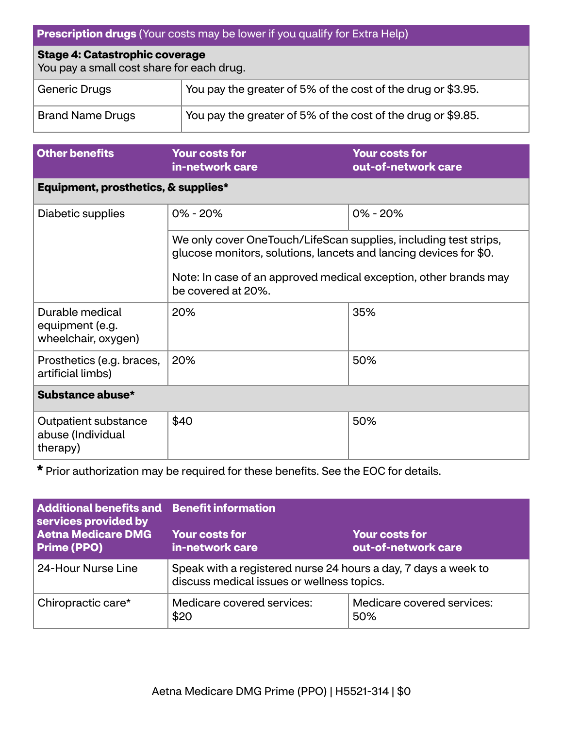| <b>Prescription drugs</b> (Your costs may be lower if you qualify for Extra Help)       |                                                              |  |
|-----------------------------------------------------------------------------------------|--------------------------------------------------------------|--|
| <b>Stage 4: Catastrophic coverage</b><br>You pay a small cost share for each drug.      |                                                              |  |
| <b>Generic Drugs</b>                                                                    | You pay the greater of 5% of the cost of the drug or \$3.95. |  |
| You pay the greater of 5% of the cost of the drug or \$9.85.<br><b>Brand Name Drugs</b> |                                                              |  |
|                                                                                         |                                                              |  |

| <b>Other benefits</b>                                     | <b>Your costs for</b><br>in-network care                                                                                                                                                                                        | <b>Your costs for</b><br>out-of-network care |  |  |
|-----------------------------------------------------------|---------------------------------------------------------------------------------------------------------------------------------------------------------------------------------------------------------------------------------|----------------------------------------------|--|--|
|                                                           | Equipment, prosthetics, & supplies*                                                                                                                                                                                             |                                              |  |  |
| Diabetic supplies                                         | $0\% - 20\%$                                                                                                                                                                                                                    | $0\% - 20\%$                                 |  |  |
|                                                           | We only cover OneTouch/LifeScan supplies, including test strips,<br>glucose monitors, solutions, lancets and lancing devices for \$0.<br>Note: In case of an approved medical exception, other brands may<br>be covered at 20%. |                                              |  |  |
| Durable medical<br>equipment (e.g.<br>wheelchair, oxygen) | 20%                                                                                                                                                                                                                             | 35%                                          |  |  |
| Prosthetics (e.g. braces,<br>artificial limbs)            | 20%                                                                                                                                                                                                                             | 50%                                          |  |  |
| Substance abuse*                                          |                                                                                                                                                                                                                                 |                                              |  |  |
| Outpatient substance<br>abuse (Individual<br>therapy)     | \$40                                                                                                                                                                                                                            | 50%                                          |  |  |

**\*** Prior authorization may be required for these benefits. See the EOC for details.

| <b>Additional benefits and Benefit information</b><br>services provided by<br><b>Aetna Medicare DMG</b><br><b>Prime (PPO)</b> | <b>Your costs for</b><br><b>Your costs for</b><br>in-network care<br>out-of-network care                     |                                   |
|-------------------------------------------------------------------------------------------------------------------------------|--------------------------------------------------------------------------------------------------------------|-----------------------------------|
| 24-Hour Nurse Line                                                                                                            | Speak with a registered nurse 24 hours a day, 7 days a week to<br>discuss medical issues or wellness topics. |                                   |
| Chiropractic care*                                                                                                            | Medicare covered services:<br>\$20                                                                           | Medicare covered services:<br>50% |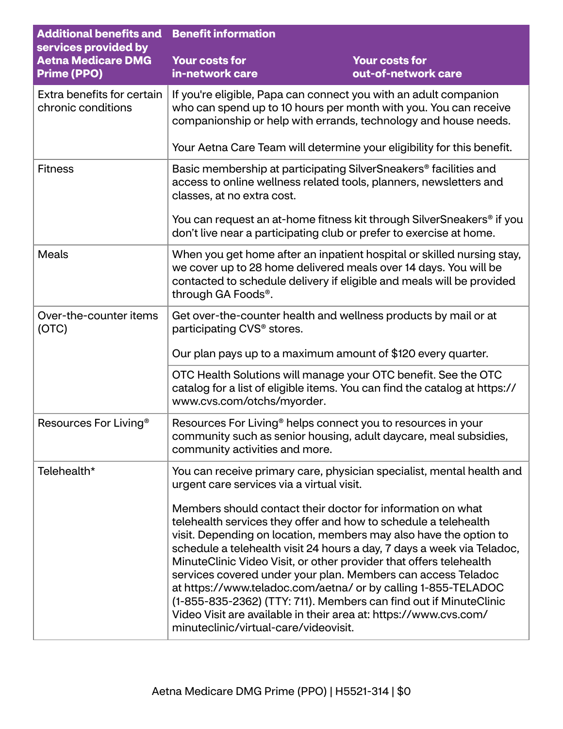| <b>Additional benefits and</b><br>services provided by | <b>Benefit information</b>                                                                                                                                                                                                                                                                                                                                                                                                                                                                                                                                                                                                                                             |                                                                       |
|--------------------------------------------------------|------------------------------------------------------------------------------------------------------------------------------------------------------------------------------------------------------------------------------------------------------------------------------------------------------------------------------------------------------------------------------------------------------------------------------------------------------------------------------------------------------------------------------------------------------------------------------------------------------------------------------------------------------------------------|-----------------------------------------------------------------------|
| <b>Aetna Medicare DMG</b><br><b>Prime (PPO)</b>        | <b>Your costs for</b><br>in-network care                                                                                                                                                                                                                                                                                                                                                                                                                                                                                                                                                                                                                               | <b>Your costs for</b><br>out-of-network care                          |
| Extra benefits for certain<br>chronic conditions       | If you're eligible, Papa can connect you with an adult companion<br>who can spend up to 10 hours per month with you. You can receive<br>companionship or help with errands, technology and house needs.                                                                                                                                                                                                                                                                                                                                                                                                                                                                |                                                                       |
|                                                        | Your Aetna Care Team will determine your eligibility for this benefit.                                                                                                                                                                                                                                                                                                                                                                                                                                                                                                                                                                                                 |                                                                       |
| <b>Fitness</b>                                         | Basic membership at participating SilverSneakers® facilities and<br>access to online wellness related tools, planners, newsletters and<br>classes, at no extra cost.                                                                                                                                                                                                                                                                                                                                                                                                                                                                                                   |                                                                       |
|                                                        | don't live near a participating club or prefer to exercise at home.                                                                                                                                                                                                                                                                                                                                                                                                                                                                                                                                                                                                    | You can request an at-home fitness kit through SilverSneakers® if you |
| <b>Meals</b>                                           | When you get home after an inpatient hospital or skilled nursing stay,<br>we cover up to 28 home delivered meals over 14 days. You will be<br>contacted to schedule delivery if eligible and meals will be provided<br>through GA Foods®.                                                                                                                                                                                                                                                                                                                                                                                                                              |                                                                       |
| Over-the-counter items<br>(OTC)                        | Get over-the-counter health and wellness products by mail or at<br>participating CVS <sup>®</sup> stores.                                                                                                                                                                                                                                                                                                                                                                                                                                                                                                                                                              |                                                                       |
|                                                        | Our plan pays up to a maximum amount of \$120 every quarter.                                                                                                                                                                                                                                                                                                                                                                                                                                                                                                                                                                                                           |                                                                       |
|                                                        | OTC Health Solutions will manage your OTC benefit. See the OTC<br>catalog for a list of eligible items. You can find the catalog at https://<br>www.cvs.com/otchs/myorder.                                                                                                                                                                                                                                                                                                                                                                                                                                                                                             |                                                                       |
| Resources For Living <sup>®</sup>                      | Resources For Living <sup>®</sup> helps connect you to resources in your<br>community such as senior housing, adult daycare, meal subsidies,<br>community activities and more.                                                                                                                                                                                                                                                                                                                                                                                                                                                                                         |                                                                       |
| Telehealth*                                            | urgent care services via a virtual visit.                                                                                                                                                                                                                                                                                                                                                                                                                                                                                                                                                                                                                              | You can receive primary care, physician specialist, mental health and |
|                                                        | Members should contact their doctor for information on what<br>telehealth services they offer and how to schedule a telehealth<br>visit. Depending on location, members may also have the option to<br>schedule a telehealth visit 24 hours a day, 7 days a week via Teladoc,<br>MinuteClinic Video Visit, or other provider that offers telehealth<br>services covered under your plan. Members can access Teladoc<br>at https://www.teladoc.com/aetna/ or by calling 1-855-TELADOC<br>(1-855-835-2362) (TTY: 711). Members can find out if MinuteClinic<br>Video Visit are available in their area at: https://www.cvs.com/<br>minuteclinic/virtual-care/videovisit. |                                                                       |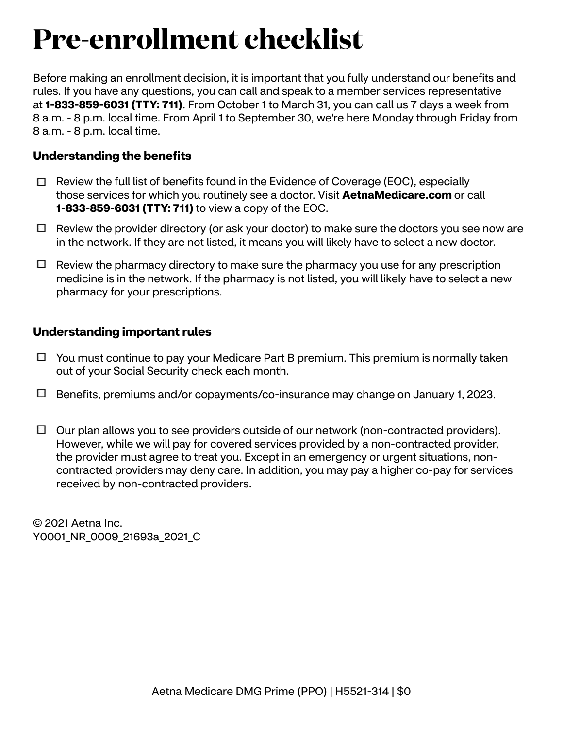# **Pre-enrollment checklist**

Before making an enrollment decision, it is important that you fully understand our benefits and rules. If you have any questions, you can call and speak to a member services representative at **1-833-859-6031 (TTY: 711)**. From October 1 to March 31, you can call us 7 days a week from 8 a.m. - 8 p.m. local time. From April 1 to September 30, we're here Monday through Friday from 8 a.m. - 8 p.m. local time.

# **Understanding the benefits**

- $\Box$  Review the full list of benefits found in the Evidence of Coverage (EOC), especially those services for which you routinely see a doctor. Visit **[AetnaMedicare.com](http://AetnaMedicare.com)** or call **1-833-859-6031 (TTY: 711)** to view a copy of the EOC.
- $\Box$  Review the provider directory (or ask your doctor) to make sure the doctors you see now are in the network. If they are not listed, it means you will likely have to select a new doctor.
- $\Box$  Review the pharmacy directory to make sure the pharmacy you use for any prescription medicine is in the network. If the pharmacy is not listed, you will likely have to select a new pharmacy for your prescriptions.

## **Understanding important rules**

- $\Box$  You must continue to pay your Medicare Part B premium. This premium is normally taken out of your Social Security check each month.
- Benefits, premiums and/or copayments/co-insurance may change on January 1, 2023.
- $\Box$  Our plan allows you to see providers outside of our network (non-contracted providers). However, while we will pay for covered services provided by a non-contracted provider, the provider must agree to treat you. Except in an emergency or urgent situations, noncontracted providers may deny care. In addition, you may pay a higher co-pay for services received by non-contracted providers.

© 2021 Aetna Inc. Y0001 NR 0009 21693a 2021 C